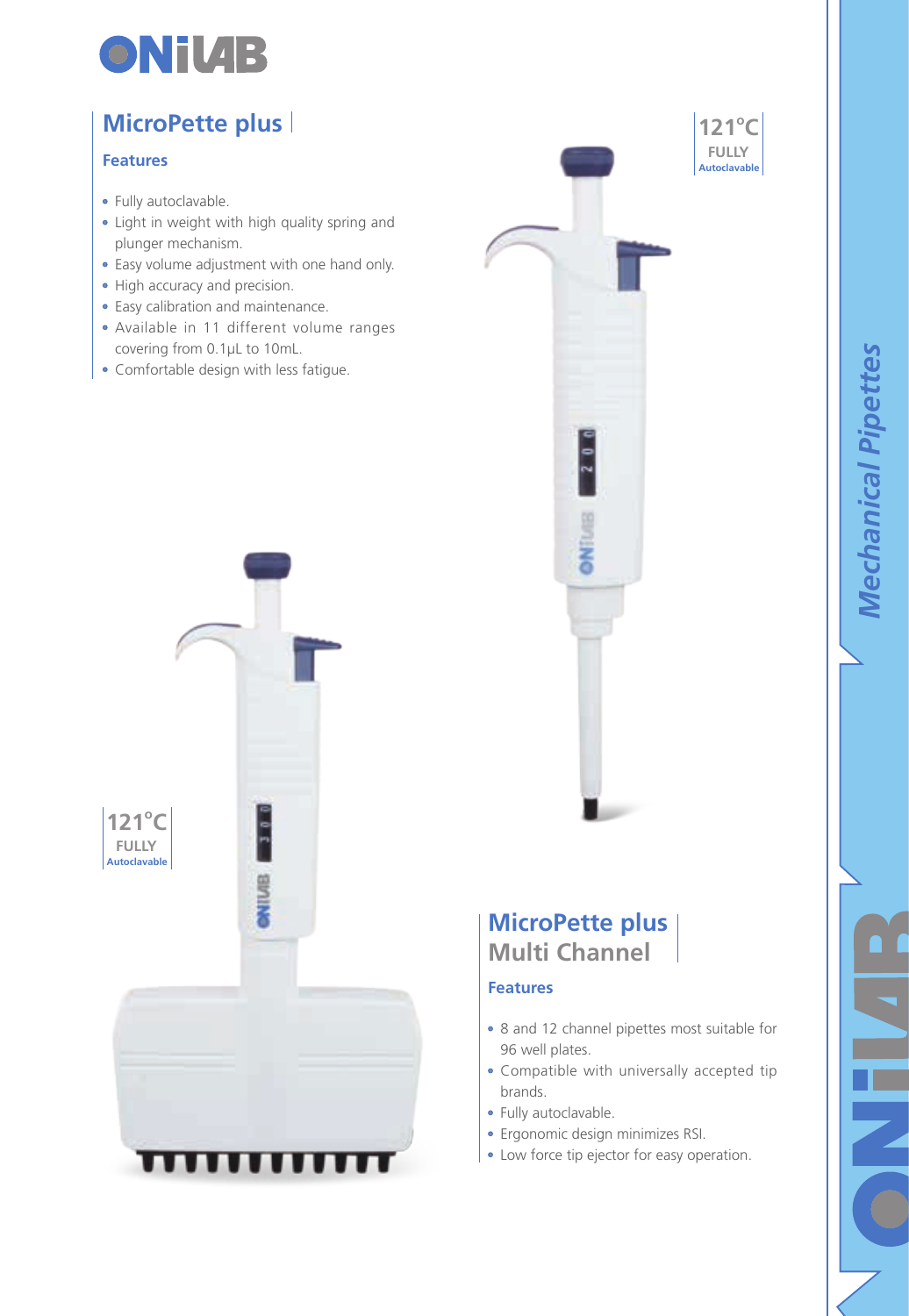

## **MicroPette plus**

### **Features**

- Fully autoclavable.
- Light in weight with high quality spring and plunger mechanism.
- Easy volume adjustment with one hand only.
- High accuracy and precision.
- Easy calibration and maintenance.
- Available in 11 different volume ranges covering from 0.1μL to 10mL.
- Comfortable design with less fatigue.





## **MicroPette plus Multi Channel**

#### **Features**

- 8 and 12 channel pipettes most suitable for 96 well plates.
- Compatible with universally accepted tip brands.
- Fully autoclavable.
- Ergonomic design minimizes RSI.
- Low force tip ejector for easy operation.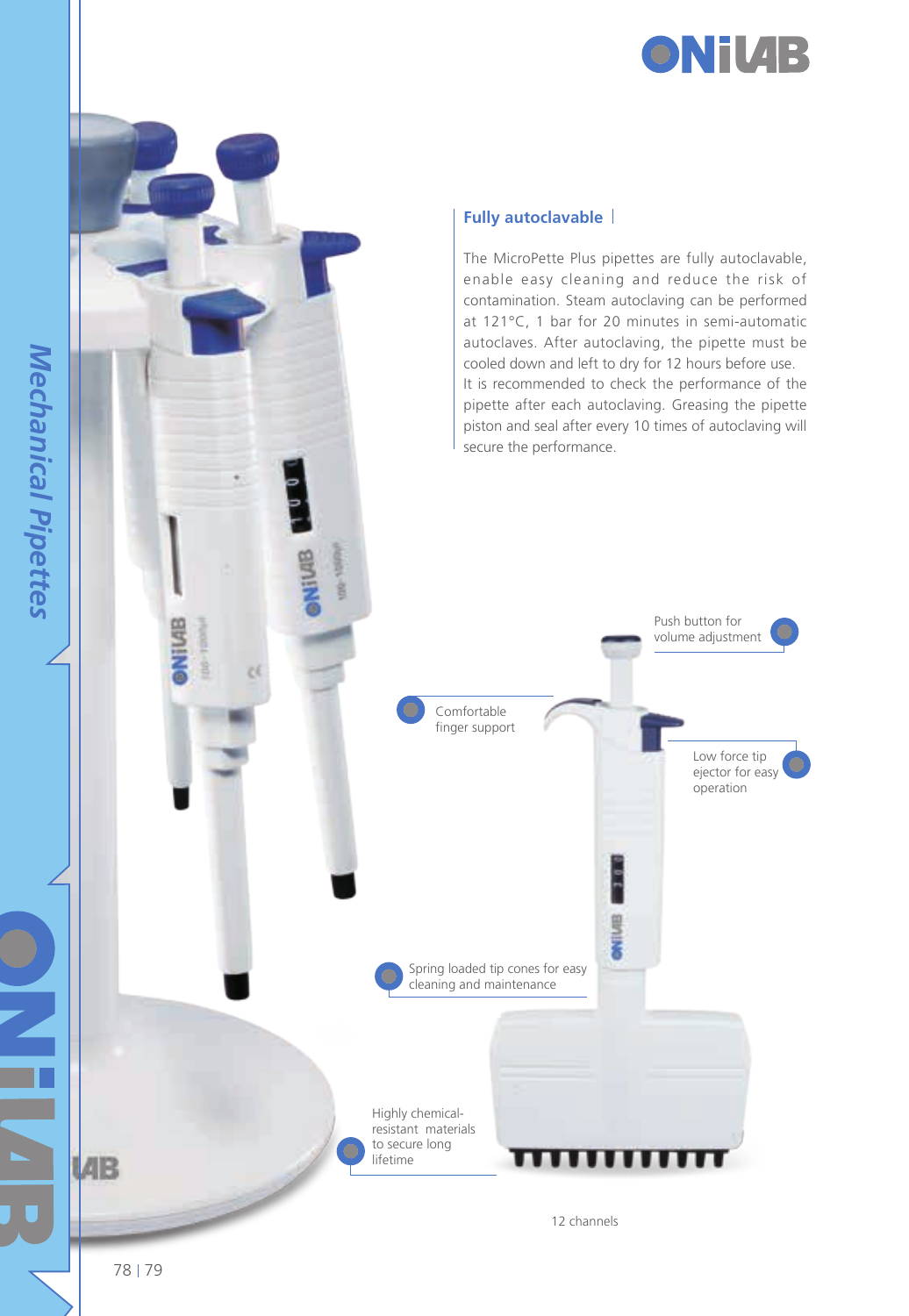



The MicroPette Plus pipettes are fully autoclavable, enable easy cleaning and reduce the risk of contamination. Steam autoclaving can be performed at 121°C, 1 bar for 20 minutes in semi-automatic autoclaves. After autoclaving, the pipette must be cooled down and left to dry for 12 hours before use. It is recommended to check the performance of the pipette after each autoclaving. Greasing the pipette piston and seal after every 10 times of autoclaving will secure the performance.



78 79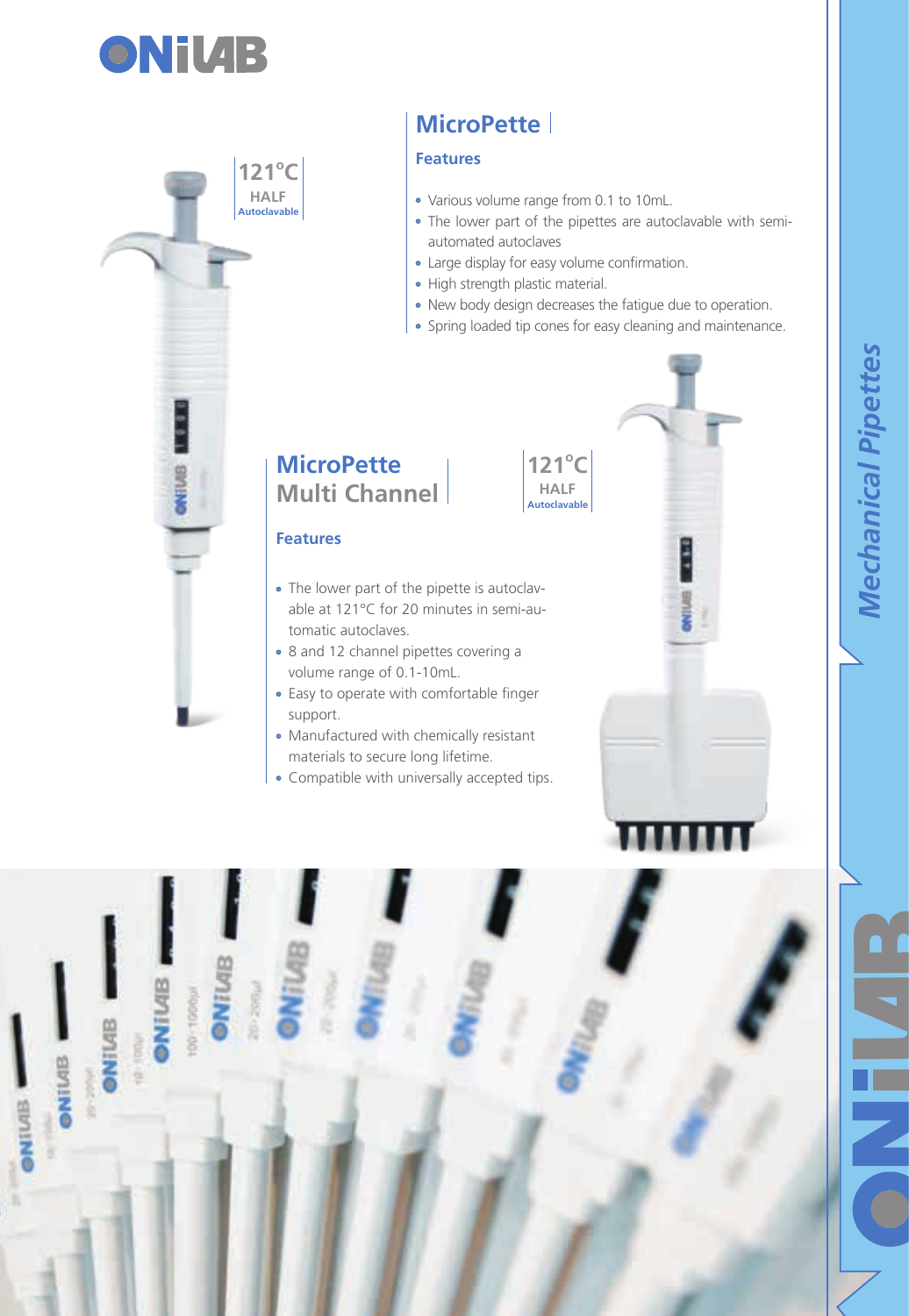



# **MicroPette**

## **Features**

- Various volume range from 0.1 to 10mL.
- The lower part of the pipettes are autoclavable with semiautomated autoclaves
- Large display for easy volume confirmation.

**121o C HALF Autoclavable**

- High strength plastic material.
- New body design decreases the fatigue due to operation.
- Spring loaded tip cones for easy cleaning and maintenance.

*Mechanical Pipettes* 

**Mechanical Pipettes** 

## **MicroPette Multi Channel**

#### **Features**

- The lower part of the pipette is autoclavable at 121°C for 20 minutes in semi-automatic autoclaves.
- 8 and 12 channel pipettes covering a volume range of 0.1-10mL.
- Easy to operate with comfortable finger support.
- Manufactured with chemically resistant materials to secure long lifetime.
- Compatible with universally accepted tips.

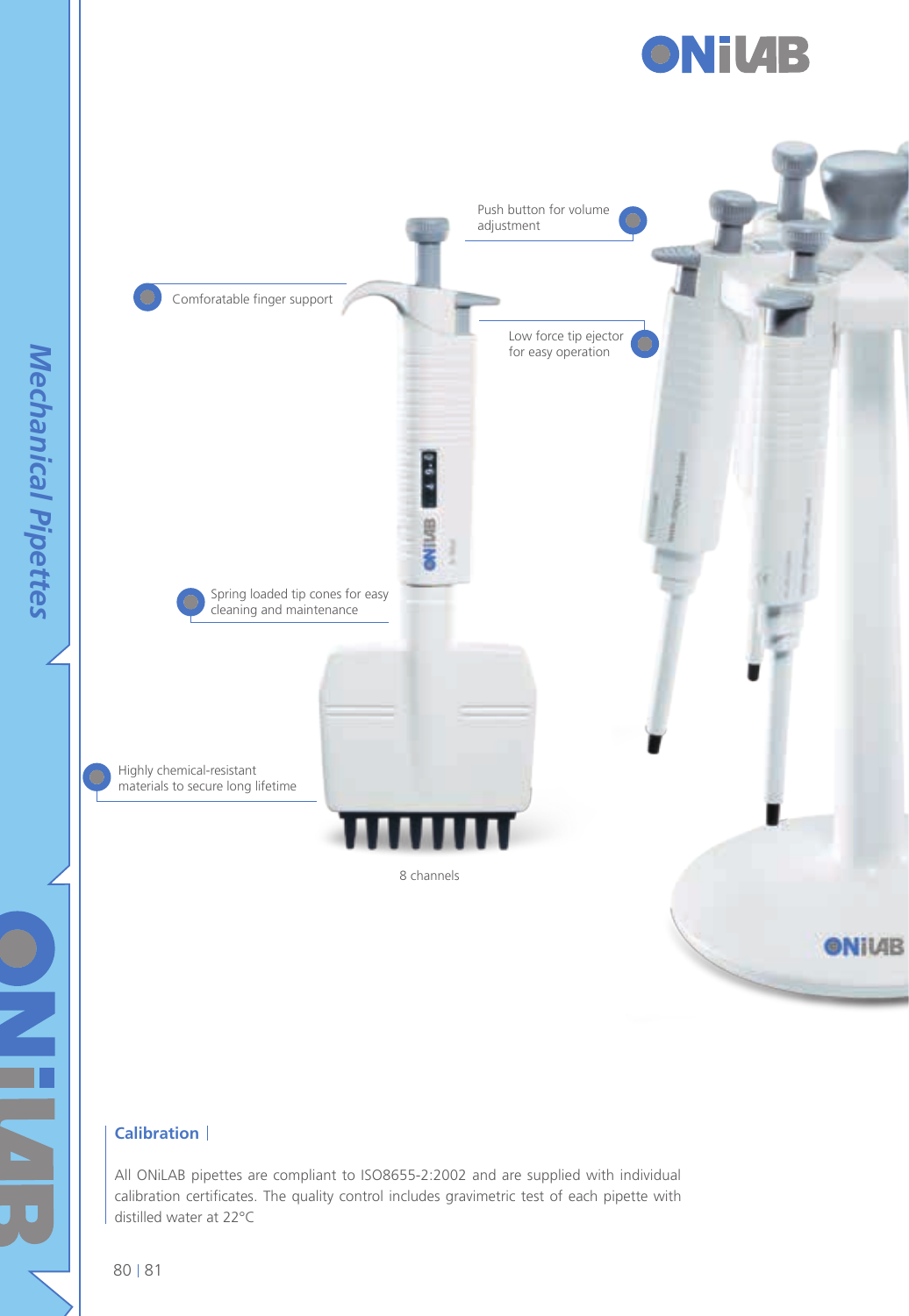



## **Calibration**

All ONiLAB pipettes are compliant to ISO8655-2:2002 and are supplied with individual calibration certificates. The quality control includes gravimetric test of each pipette with distilled water at 22°C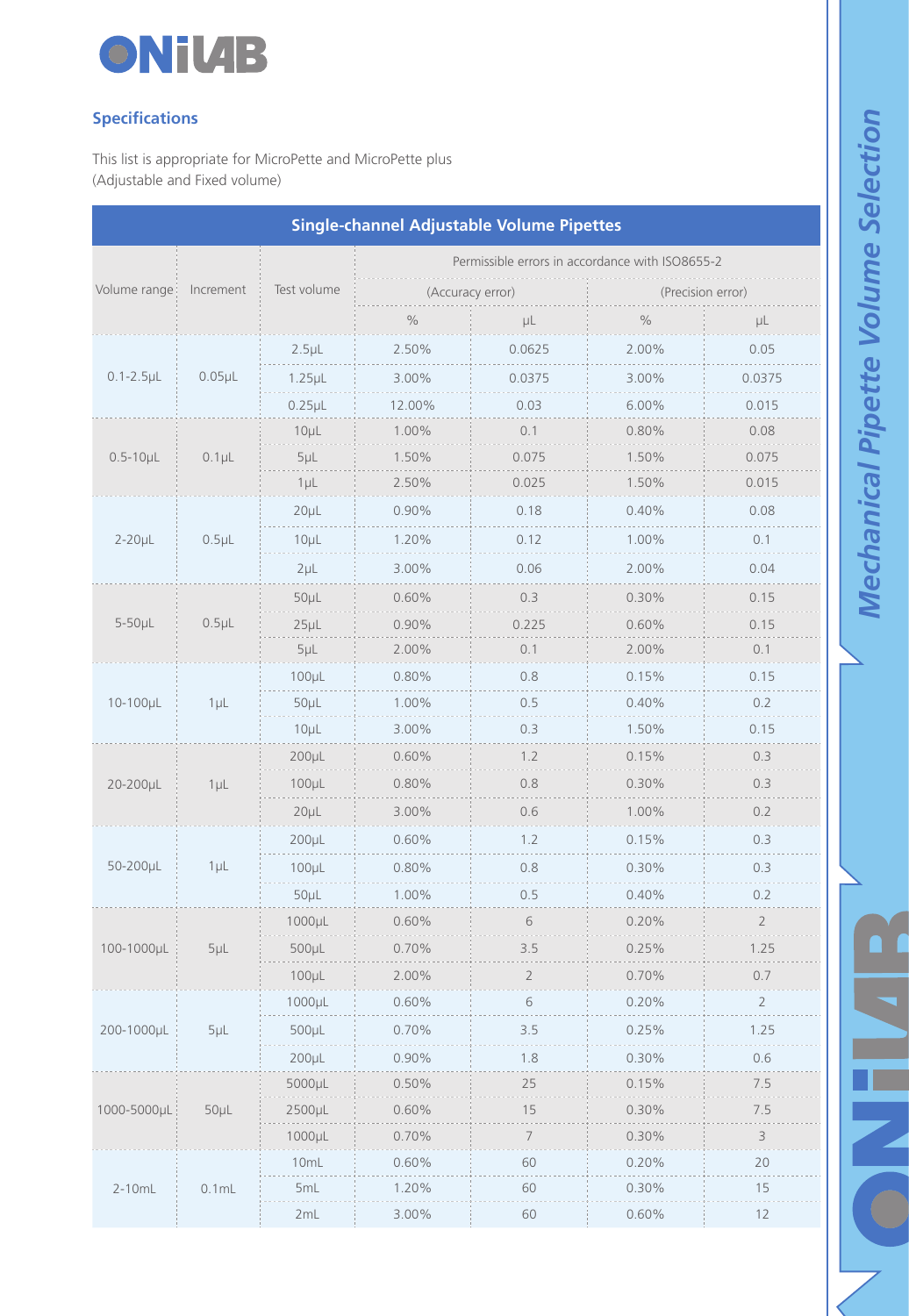

## **Specifications**

This list is appropriate for MicroPette and MicroPette plus (Adjustable and Fixed volume)

| Single-channel Adjustable Volume Pipettes |            |                  |                                                 |                                                                                                                                                                                                                                                                         |                   |                |  |  |
|-------------------------------------------|------------|------------------|-------------------------------------------------|-------------------------------------------------------------------------------------------------------------------------------------------------------------------------------------------------------------------------------------------------------------------------|-------------------|----------------|--|--|
|                                           |            |                  | Permissible errors in accordance with ISO8655-2 |                                                                                                                                                                                                                                                                         |                   |                |  |  |
| Volume range                              | Increment  | Test volume      |                                                 | (Accuracy error)                                                                                                                                                                                                                                                        | (Precision error) |                |  |  |
|                                           |            |                  | $\%$                                            | μL                                                                                                                                                                                                                                                                      | $\%$              | μL             |  |  |
| $0.1 - 2.5 \mu L$                         | $0.05\muL$ | $2.5\mu$ L       | 2.50%                                           | 0.0625                                                                                                                                                                                                                                                                  | 2.00%             | 0.05           |  |  |
|                                           |            | $1.25 \mu L$     | 3.00%                                           | 0.0375                                                                                                                                                                                                                                                                  | 3.00%             | 0.0375         |  |  |
|                                           |            | $0.25\muL$       | 12.00%                                          | 0.03                                                                                                                                                                                                                                                                    | 6.00%             | 0.015          |  |  |
| $0.5 - 10 \mu L$                          | $0.1$ µL   | $10\mu$ L        | 1.00%                                           | 0.1                                                                                                                                                                                                                                                                     | 0.80%             | 0.08           |  |  |
|                                           |            | $5\mu$ L         | 1.50%                                           | 0.075                                                                                                                                                                                                                                                                   | 1.50%             | 0.075          |  |  |
|                                           |            | $1\mu$ L         | 2.50%                                           | 0.025                                                                                                                                                                                                                                                                   | 1.50%             | 0.015          |  |  |
|                                           | $0.5\mu$ L | $20\mu$ L        | 0.90%                                           | 0.18                                                                                                                                                                                                                                                                    | 0.40%             | 0.08           |  |  |
| $2 - 20\mu L$                             |            | $10\mu$ L        | .<br>1.20%                                      | 0.12                                                                                                                                                                                                                                                                    | 1.00%             | 0.1            |  |  |
|                                           |            | $2\mu L$         | 3.00%                                           | 0.06                                                                                                                                                                                                                                                                    | 2.00%             | 0.04           |  |  |
|                                           |            | $50\mu$ L        | 0.60%                                           | 0.3                                                                                                                                                                                                                                                                     | 0.30%             | 0.15           |  |  |
| $5-50\mu L$                               | $0.5\mu$ L | $25\mu$ L        | 0.90%                                           | 0.225                                                                                                                                                                                                                                                                   | 0.60%             | 0.15           |  |  |
|                                           |            | $5\mu$ L         | 2.00%                                           | 0.1                                                                                                                                                                                                                                                                     | 2.00%             | 0.1            |  |  |
|                                           | $1\mu$ L   | $100\mu$ L       | 0.80%                                           | 0.8                                                                                                                                                                                                                                                                     | 0.15%             | 0.15           |  |  |
| 10-100µL                                  |            | 50 <sub>µ</sub>  | 1.00%                                           | 0.5                                                                                                                                                                                                                                                                     | 0.40%             | 0.2            |  |  |
|                                           |            | $10\mu$ L        | 3.00%                                           | 0.3                                                                                                                                                                                                                                                                     | 1.50%             | 0.15           |  |  |
|                                           | $1 \mu L$  | 200 <sub>µ</sub> | 0.60%                                           | 1.2<br>$\label{eq:1} \begin{array}{lllllllll} \multicolumn{3}{l}{{\color{red}\displaystyle\cdots\cdots\cdots}} & \multicolumn{3}{l}{{\color{red}\displaystyle\cdots\cdots\cdots}} & \multicolumn{3}{l}{{\color{red}\displaystyle\cdots\cdots\cdots\cdots}} \end{array}$ | 0.15%             | 0.3            |  |  |
| 20-200µL                                  |            | $100\mu$ L       | 0.80%                                           | 0.8                                                                                                                                                                                                                                                                     | 0.30%             | 0.3            |  |  |
|                                           |            | 20 <sub>µ</sub>  | 3.00%<br>.                                      | 0.6<br>$\sim$                                                                                                                                                                                                                                                           | 1.00%             | 0.2            |  |  |
|                                           | $1 \mu L$  | $200\mu L$       | 0.60%                                           | 1.2                                                                                                                                                                                                                                                                     | 0.15%             | 0.3            |  |  |
| 50-200µL                                  |            | $100\mu$ L       | 0.80%                                           | 0.8                                                                                                                                                                                                                                                                     | 0.30%             | 0.3            |  |  |
|                                           |            | $50\mu$ L        | 1.00%                                           | 0.5                                                                                                                                                                                                                                                                     | 0.40%             | 0.2            |  |  |
|                                           | $5\mu$     | 1000µL           | 0.60%                                           | 6                                                                                                                                                                                                                                                                       | 0.20%             | $\overline{c}$ |  |  |
| 100-1000µL                                |            | 500µL            | 0.70%                                           | 3.5                                                                                                                                                                                                                                                                     | 0.25%             | 1.25           |  |  |
|                                           |            | $100\mu$ L       | 2.00%                                           | $\overline{2}$                                                                                                                                                                                                                                                          | 0.70%             | 0.7            |  |  |
|                                           | $5\mu$     | 1000µL           | 0.60%                                           | 6                                                                                                                                                                                                                                                                       | 0.20%             | $\sqrt{2}$     |  |  |
| 200-1000µL                                |            | 500µL            | 0.70%                                           | 3.5                                                                                                                                                                                                                                                                     | 0.25%             | 1.25           |  |  |
|                                           |            | $200\mu L$       | 0.90%                                           | 1.8                                                                                                                                                                                                                                                                     | 0.30%             | .<br>0.6       |  |  |
| 1000-5000µL                               | $50\mu$ L  | 5000µL           | 0.50%                                           | 25                                                                                                                                                                                                                                                                      | 0.15%             | 7.5            |  |  |
|                                           |            | 2500µL           | 0.60%                                           | 15                                                                                                                                                                                                                                                                      | 0.30%             | 7.5            |  |  |
|                                           |            | 1000µL           | 0.70%                                           | $\begin{array}{c} 7 \\ 1 \end{array}$                                                                                                                                                                                                                                   | 0.30%             | 3              |  |  |
|                                           | $0.1$ mL   | 10mL             | 0.60%                                           | 60                                                                                                                                                                                                                                                                      | 0.20%             | 20             |  |  |
| $2-10mL$                                  |            | 5mL              | 1.20%                                           | 60                                                                                                                                                                                                                                                                      | 0.30%             | 15             |  |  |
|                                           |            | 2mL              | 3.00%                                           | 60                                                                                                                                                                                                                                                                      | 0.60%             | 12             |  |  |

œ